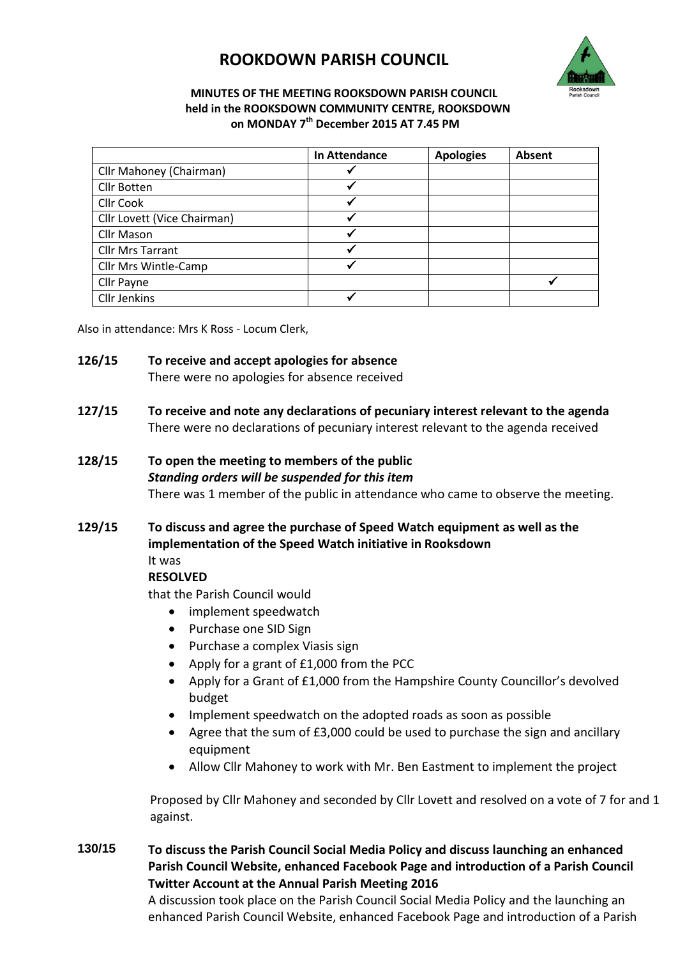## **ROOKDOWN PARISH COUNCIL**



## **MINUTES OF THE MEETING ROOKSDOWN PARISH COUNCIL held in the ROOKSDOWN COMMUNITY CENTRE, ROOKSDOWN on MONDAY 7 th December 2015 AT 7.45 PM**

|                             | <b>In Attendance</b> | <b>Apologies</b> | Absent |
|-----------------------------|----------------------|------------------|--------|
| Cllr Mahoney (Chairman)     |                      |                  |        |
| Cllr Botten                 |                      |                  |        |
| <b>Cllr Cook</b>            |                      |                  |        |
| Cllr Lovett (Vice Chairman) | √                    |                  |        |
| Cllr Mason                  |                      |                  |        |
| <b>Cllr Mrs Tarrant</b>     |                      |                  |        |
| Cllr Mrs Wintle-Camp        | √                    |                  |        |
| Cllr Payne                  |                      |                  |        |
| <b>Cllr Jenkins</b>         |                      |                  |        |

Also in attendance: Mrs K Ross - Locum Clerk,

- **126/15 To receive and accept apologies for absence** There were no apologies for absence received
- **127/15 To receive and note any declarations of pecuniary interest relevant to the agenda** There were no declarations of pecuniary interest relevant to the agenda received
- **128/15 To open the meeting to members of the public** *Standing orders will be suspended for this item* There was 1 member of the public in attendance who came to observe the meeting.
- **129/15 To discuss and agree the purchase of Speed Watch equipment as well as the implementation of the Speed Watch initiative in Rooksdown**  It was

## **RESOLVED**

that the Parish Council would

- implement speedwatch
- Purchase one SID Sign
- Purchase a complex Viasis sign
- Apply for a grant of £1,000 from the PCC
- Apply for a Grant of £1,000 from the Hampshire County Councillor's devolved budget
- Implement speedwatch on the adopted roads as soon as possible
- Agree that the sum of £3,000 could be used to purchase the sign and ancillary equipment
- Allow Cllr Mahoney to work with Mr. Ben Eastment to implement the project

Proposed by Cllr Mahoney and seconded by Cllr Lovett and resolved on a vote of 7 for and 1 against.

**130/15 To discuss the Parish Council Social Media Policy and discuss launching an enhanced Parish Council Website, enhanced Facebook Page and introduction of a Parish Council Twitter Account at the Annual Parish Meeting 2016**

> A discussion took place on the Parish Council Social Media Policy and the launching an enhanced Parish Council Website, enhanced Facebook Page and introduction of a Parish